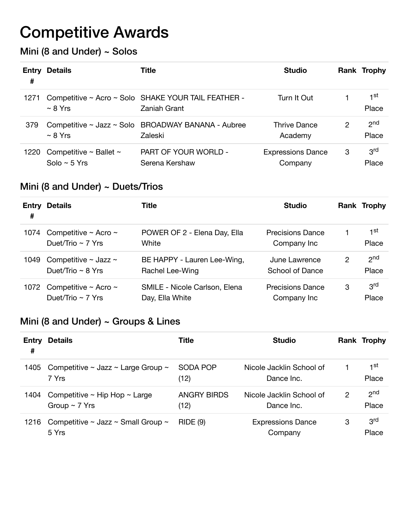# Competitive Awards

### Mini (8 and Under) ~ Solos

| #    | <b>Entry Details</b>                               | Title                                                               | <b>Studio</b>                       |   | Rank Trophy              |
|------|----------------------------------------------------|---------------------------------------------------------------------|-------------------------------------|---|--------------------------|
| 1271 | $~\sim$ 8 Yrs                                      | Competitive ~ Acro ~ Solo SHAKE YOUR TAIL FEATHER -<br>Zaniah Grant | Turn It Out                         |   | 1st<br>Place             |
| 379  | $~\sim$ 8 Yrs                                      | Competitive ~ Jazz ~ Solo BROADWAY BANANA - Aubree<br>Zaleski       | Thrive Dance<br>Academy             | 2 | 2 <sub>nd</sub><br>Place |
| 1220 | Competitive $\sim$ Ballet $\sim$<br>Solo ~ $5$ Yrs | PART OF YOUR WORLD -<br>Serena Kershaw                              | <b>Expressions Dance</b><br>Company | 3 | 3 <sup>rd</sup><br>Place |

#### Mini (8 and Under) ~ Duets/Trios

| #    | <b>Entry Details</b>                                     | Title                                            | <b>Studio</b>                          |   | <b>Rank Trophy</b>       |
|------|----------------------------------------------------------|--------------------------------------------------|----------------------------------------|---|--------------------------|
| 1074 | Competitive $\sim$ Acro $\sim$<br>Duet/Trio $\sim$ 7 Yrs | POWER OF 2 - Elena Day, Ella<br>White            | <b>Precisions Dance</b><br>Company Inc |   | 1st<br>Place             |
| 1049 | Competitive $\sim$ Jazz $\sim$<br>Duet/Trio $\sim$ 8 Yrs | BE HAPPY - Lauren Lee-Wing,<br>Rachel Lee-Wing   | June Lawrence<br>School of Dance       | 2 | 2 <sub>nd</sub><br>Place |
| 1072 | Competitive $\sim$ Acro $\sim$<br>Duet/Trio $\sim$ 7 Yrs | SMILE - Nicole Carlson, Elena<br>Day, Ella White | <b>Precisions Dance</b><br>Company Inc | 3 | 3 <sup>rd</sup><br>Place |

#### Mini (8 and Under) ~ Groups & Lines

| Entry<br># | <b>Details</b>                                                | Title                      | <b>Studio</b>                          |   | Rank Trophy              |
|------------|---------------------------------------------------------------|----------------------------|----------------------------------------|---|--------------------------|
| 1405       | Competitive $\sim$ Jazz $\sim$ Large Group $\sim$<br>7 Yrs    | SODA POP<br>(12)           | Nicole Jacklin School of<br>Dance Inc. |   | 1st<br>Place             |
| 1404       | Competitive $\sim$ Hip Hop $\sim$ Large<br>Group $\sim$ 7 Yrs | <b>ANGRY BIRDS</b><br>(12) | Nicole Jacklin School of<br>Dance Inc. | 2 | 2 <sub>nd</sub><br>Place |
| 1216       | Competitive $\sim$ Jazz $\sim$ Small Group $\sim$<br>5 Yrs    | <b>RIDE (9)</b>            | <b>Expressions Dance</b><br>Company    | 3 | 3 <sup>rd</sup><br>Place |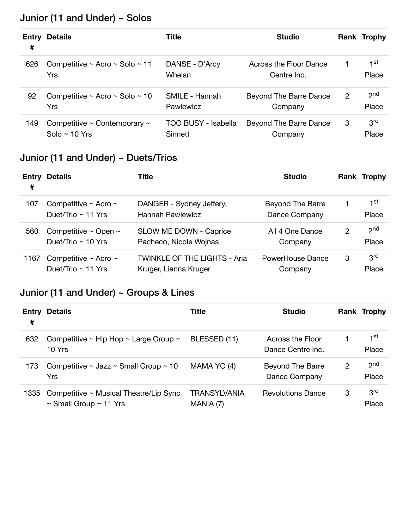# Junior (11 and Under) ~ Solos

| Entry<br># | <b>Details</b>                                               | Title                          | <b>Studio</b>                         |   | Rank Trophy              |
|------------|--------------------------------------------------------------|--------------------------------|---------------------------------------|---|--------------------------|
| 626        | Competitive ~ Acro ~ Solo ~ 11<br>Yrs                        | DANSE - D'Arcy<br>Whelan       | Across the Floor Dance<br>Centre Inc. |   | 1st<br>Place             |
| 92         | Competitive ~ Acro ~ Solo ~ 10<br>Yrs                        | SMILE - Hannah<br>Pawlewicz    | Beyond The Barre Dance<br>Company     | 2 | 2 <sub>nd</sub><br>Place |
| 149        | Competitive $\sim$ Contemporary $\sim$<br>Solo $\sim$ 10 Yrs | TOO BUSY - Isabella<br>Sinnett | Beyond The Barre Dance<br>Company     | 3 | 3 <sup>rd</sup><br>Place |

### Junior (11 and Under) ~ Duets/Trios

| Entry<br># | Details                                                   | <b>Title</b>                                                 | <b>Studio</b>                            |   | <b>Rank Trophy</b>       |
|------------|-----------------------------------------------------------|--------------------------------------------------------------|------------------------------------------|---|--------------------------|
| 107        | Competitive $\sim$ Acro $\sim$<br>Duet/Trio $\sim$ 11 Yrs | DANGER - Sydney Jeffery,<br><b>Hannah Pawlewicz</b>          | <b>Beyond The Barre</b><br>Dance Company |   | 1st<br>Place             |
| 560        | Competitive $\sim$ Open $\sim$<br>Duet/Trio $\sim$ 10 Yrs | SLOW ME DOWN - Caprice<br>Pacheco, Nicole Wojnas             | All 4 One Dance<br>Company               | 2 | 2 <sub>nd</sub><br>Place |
| 1167       | Competitive $\sim$ Acro $\sim$<br>Duet/Trio $\sim$ 11 Yrs | <b>TWINKLE OF THE LIGHTS - Aria</b><br>Kruger, Lianna Kruger | PowerHouse Dance<br>Company              | 3 | 3 <sup>rd</sup><br>Place |

# Junior (11 and Under) ~ Groups & Lines

| Entry<br># | <b>Details</b>                                                             | Title                            | <b>Studio</b>                         |   | Rank Trophy              |
|------------|----------------------------------------------------------------------------|----------------------------------|---------------------------------------|---|--------------------------|
| 632        | Competitive $\sim$ Hip Hop $\sim$ Large Group $\sim$<br>10 Yrs             | BLESSED (11)                     | Across the Floor<br>Dance Centre Inc. |   | 1 <sup>st</sup><br>Place |
| 173        | Competitive $\sim$ Jazz $\sim$ Small Group $\sim$ 10<br>Yrs                | MAMA YO (4)                      | Beyond The Barre<br>Dance Company     | 2 | 2 <sup>nd</sup><br>Place |
| 1335       | Competitive ~ Musical Theatre/Lip Sync<br>$\sim$ Small Group $\sim$ 11 Yrs | <b>TRANSYLVANIA</b><br>MANIA (7) | <b>Revolutions Dance</b>              | 3 | 3 <sup>rd</sup><br>Place |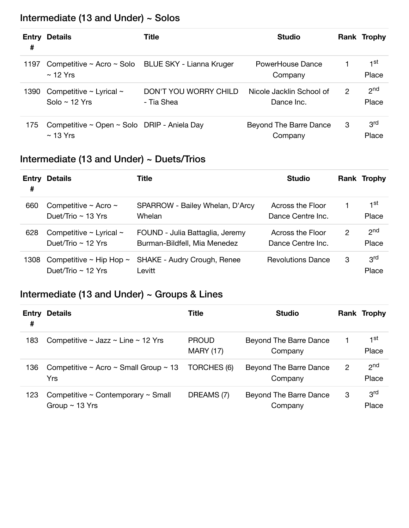# Intermediate (13 and Under) ~ Solos

| Entry<br># | <b>Details</b>                                                         | Title                               | <b>Studio</b>                          |   | Rank Trophy              |
|------------|------------------------------------------------------------------------|-------------------------------------|----------------------------------------|---|--------------------------|
| 1197       | Competitive ~ Acro ~ Solo BLUE SKY - Lianna Kruger<br>$\sim$ 12 Yrs    |                                     | PowerHouse Dance<br>Company            |   | 1 <sup>st</sup><br>Place |
| 1390       | Competitive $\sim$ Lyrical $\sim$<br>Solo ~ $12$ Yrs                   | DON'T YOU WORRY CHILD<br>- Tia Shea | Nicole Jacklin School of<br>Dance Inc. | 2 | 2 <sub>nd</sub><br>Place |
| 175        | Competitive $\sim$ Open $\sim$ Solo DRIP - Aniela Day<br>$\sim$ 13 Yrs |                                     | Beyond The Barre Dance<br>Company      | 3 | 3rd<br>Place             |

### Intermediate (13 and Under) ~ Duets/Trios

| #    | <b>Entry Details</b>                                         | Title                                                           | <b>Studio</b>                         |   | Rank Trophy              |
|------|--------------------------------------------------------------|-----------------------------------------------------------------|---------------------------------------|---|--------------------------|
| 660  | Competitive $\sim$ Acro $\sim$<br>Duet/Trio $\sim$ 13 Yrs    | SPARROW - Bailey Whelan, D'Arcy<br>Whelan                       | Across the Floor<br>Dance Centre Inc. |   | 1 <sup>st</sup><br>Place |
| 628  | Competitive $\sim$ Lyrical $\sim$<br>Duet/Trio $\sim$ 12 Yrs | FOUND - Julia Battaglia, Jeremy<br>Burman-Bildfell, Mia Menedez | Across the Floor<br>Dance Centre Inc. | 2 | 2 <sub>nd</sub><br>Place |
| 1308 | Competitive $\sim$ Hip Hop $\sim$<br>Duet/Trio $\sim$ 12 Yrs | SHAKE - Audry Crough, Renee<br>Levitt                           | <b>Revolutions Dance</b>              | 3 | 3 <sup>rd</sup><br>Place |

# Intermediate (13 and Under) ~ Groups & Lines

| Entry<br># | <b>Details</b>                                                      | <b>Title</b>                     | <b>Studio</b>                     |   | Rank Trophy              |
|------------|---------------------------------------------------------------------|----------------------------------|-----------------------------------|---|--------------------------|
| 183        | Competitive $\sim$ Jazz $\sim$ Line $\sim$ 12 Yrs                   | <b>PROUD</b><br><b>MARY (17)</b> | Beyond The Barre Dance<br>Company |   | 1st<br>Place             |
| 136        | Competitive $\sim$ Acro $\sim$ Small Group $\sim$ 13<br>Yrs         | TORCHES (6)                      | Beyond The Barre Dance<br>Company | 2 | 2 <sub>nd</sub><br>Place |
| 123        | Competitive $\sim$ Contemporary $\sim$ Small<br>Group $\sim$ 13 Yrs | DREAMS (7)                       | Beyond The Barre Dance<br>Company | 3 | 3 <sup>rd</sup><br>Place |